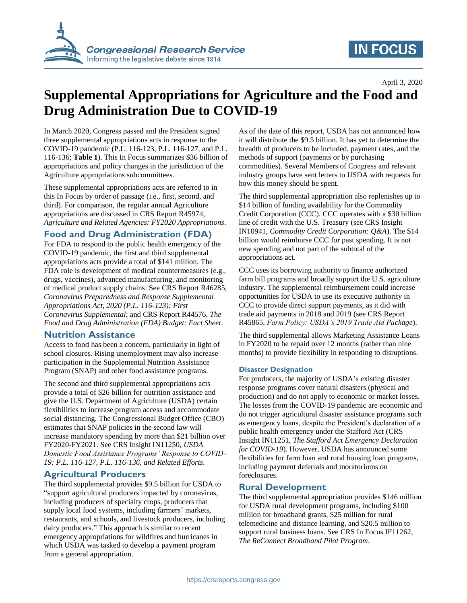

## **IN FOCUS**

April 3, 2020

# **Supplemental Appropriations for Agriculture and the Food and Drug Administration Due to COVID-19**

In March 2020, Congress passed and the President signed three supplemental appropriations acts in response to the COVID-19 pandemic (P.L. 116-123, P.L. 116-127, and P.L. 116-136; **[Table 1](#page-1-0)**). This In Focus summarizes \$36 billion of appropriations and policy changes in the jurisdiction of the Agriculture appropriations subcommittees.

These supplemental appropriations acts are referred to in this In Focus by order of passage (i.e., first, second, and third). For comparison, the regular annual Agriculture appropriations are discussed in CRS Report R45974, *Agriculture and Related Agencies: FY2020 Appropriations*.

## **Food and Drug Administration (FDA)**

For FDA to respond to the public health emergency of the COVID-19 pandemic, the first and third supplemental appropriations acts provide a total of \$141 million. The FDA role is development of medical countermeasures (e.g., drugs, vaccines), advanced manufacturing, and monitoring of medical product supply chains. See CRS Report R46285, *Coronavirus Preparedness and Response Supplemental Appropriations Act, 2020 (P.L. 116-123): First Coronavirus Supplemental*; and CRS Report R44576, *The Food and Drug Administration (FDA) Budget: Fact Sheet*.

### **Nutrition Assistance**

Access to food has been a concern, particularly in light of school closures. Rising unemployment may also increase participation in the Supplemental Nutrition Assistance Program (SNAP) and other food assistance programs.

The second and third supplemental appropriations acts provide a total of \$26 billion for nutrition assistance and give the U.S. Department of Agriculture (USDA) certain flexibilities to increase program access and accommodate social distancing. The Congressional Budget Office (CBO) estimates that SNAP policies in the second law will increase mandatory spending by more than \$21 billion over FY2020-FY2021. See CRS Insight IN11250, *USDA Domestic Food Assistance Programs' Response to COVID-19: P.L. 116-127, P.L. 116-136, and Related Efforts*.

## **Agricultural Producers**

The third supplemental provides \$9.5 billion for USDA to "support agricultural producers impacted by coronavirus, including producers of specialty crops, producers that supply local food systems, including farmers' markets, restaurants, and schools, and livestock producers, including dairy producers." This approach is similar to recent emergency appropriations for wildfires and hurricanes in which USDA was tasked to develop a payment program from a general appropriation.

As of the date of this report, USDA has not announced how it will distribute the \$9.5 billion. It has yet to determine the breadth of producers to be included, payment rates, and the methods of support (payments or by purchasing commodities). Several Members of Congress and relevant industry groups have sent letters to USDA with requests for how this money should be spent.

The third supplemental appropriation also replenishes up to \$14 billion of funding availability for the Commodity Credit Corporation (CCC). CCC operates with a \$30 billion line of credit with the U.S. Treasury (see CRS Insight IN10941, *Commodity Credit Corporation: Q&A*). The \$14 billion would reimburse CCC for past spending. It is not new spending and not part of the subtotal of the appropriations act.

CCC uses its borrowing authority to finance authorized farm bill programs and broadly support the U.S. agriculture industry. The supplemental reimbursement could increase opportunities for USDA to use its executive authority in CCC to provide direct support payments, as it did with trade aid payments in 2018 and 2019 (see CRS Report R45865, *Farm Policy: USDA's 2019 Trade Aid Package*).

The third supplemental allows Marketing Assistance Loans in FY2020 to be repaid over 12 months (rather than nine months) to provide flexibility in responding to disruptions.

#### **Disaster Designation**

For producers, the majority of USDA's existing disaster response programs cover natural disasters (physical and production) and do not apply to economic or market losses. The losses from the COVID-19 pandemic are economic and do not trigger agricultural disaster assistance programs such as emergency loans, despite the President's declaration of a public health emergency under the Stafford Act (CRS Insight IN11251, *The Stafford Act Emergency Declaration for COVID-19*). However, USDA has announced some flexibilities for farm loan and rural housing loan programs, including payment deferrals and moratoriums on foreclosures.

#### **Rural Development**

The third supplemental appropriation provides \$146 million for USDA rural development programs, including \$100 million for broadband grants, \$25 million for rural telemedicine and distance learning, and \$20.5 million to support rural business loans. See CRS In Focus IF11262, *The ReConnect Broadband Pilot Program*.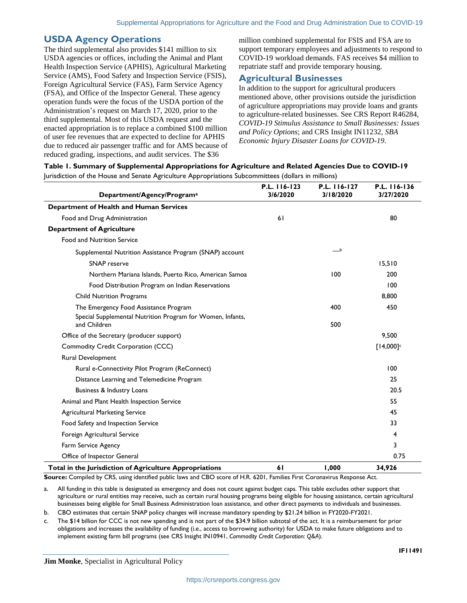## **USDA Agency Operations**

The third supplemental also provides \$141 million to six USDA agencies or offices, including the Animal and Plant Health Inspection Service (APHIS), Agricultural Marketing Service (AMS), Food Safety and Inspection Service (FSIS), Foreign Agricultural Service (FAS), Farm Service Agency (FSA), and Office of the Inspector General. These agency operation funds were the focus of the USDA portion of the Administration's request on March 17, 2020, prior to the third supplemental. Most of this USDA request and the enacted appropriation is to replace a combined \$100 million of user fee revenues that are expected to decline for APHIS due to reduced air passenger traffic and for AMS because of reduced grading, inspections, and audit services. The \$36

million combined supplemental for FSIS and FSA are to support temporary employees and adjustments to respond to COVID-19 workload demands. FAS receives \$4 million to repatriate staff and provide temporary housing.

## **Agricultural Businesses**

In addition to the support for agricultural producers mentioned above, other provisions outside the jurisdiction of agriculture appropriations may provide loans and grants to agriculture-related businesses. See CRS Report R46284, *COVID-19 Stimulus Assistance to Small Businesses: Issues and Policy Options*; and CRS Insight IN11232, *SBA Economic Injury Disaster Loans for COVID-19*.

<span id="page-1-0"></span>

Jurisdiction of the House and Senate Agriculture Appropriations Subcommittees (dollars in millions)

| Department/Agency/Program <sup>a</sup>                                     | P.L. 116-123<br>3/6/2020 | P.L. 116-127<br>3/18/2020 | P.L. 116-136<br>3/27/2020 |
|----------------------------------------------------------------------------|--------------------------|---------------------------|---------------------------|
| Department of Health and Human Services                                    |                          |                           |                           |
| Food and Drug Administration                                               | 61                       |                           | 80                        |
| <b>Department of Agriculture</b>                                           |                          |                           |                           |
| <b>Food and Nutrition Service</b>                                          |                          |                           |                           |
| Supplemental Nutrition Assistance Program (SNAP) account                   |                          | ___b                      |                           |
| <b>SNAP</b> reserve                                                        |                          |                           | 15,510                    |
| Northern Mariana Islands, Puerto Rico, American Samoa                      |                          | 100                       | 200                       |
| Food Distribution Program on Indian Reservations                           |                          |                           | 100                       |
| <b>Child Nutrition Programs</b>                                            |                          |                           | 8,800                     |
| The Emergency Food Assistance Program                                      |                          | 400                       | 450                       |
| Special Supplemental Nutrition Program for Women, Infants,<br>and Children |                          | 500                       |                           |
| Office of the Secretary (producer support)                                 |                          |                           | 9,500                     |
| Commodity Credit Corporation (CCC)                                         |                          |                           | $[14,000]$ c              |
| Rural Development                                                          |                          |                           |                           |
| Rural e-Connectivity Pilot Program (ReConnect)                             |                          |                           | 100                       |
| Distance Learning and Telemedicine Program                                 |                          |                           | 25                        |
| Business & Industry Loans                                                  |                          |                           | 20.5                      |
| Animal and Plant Health Inspection Service                                 |                          |                           | 55                        |
| <b>Agricultural Marketing Service</b>                                      |                          |                           | 45                        |
| Food Safety and Inspection Service                                         |                          |                           | 33                        |
| Foreign Agricultural Service                                               |                          |                           | 4                         |
| Farm Service Agency                                                        |                          |                           | 3                         |
| Office of Inspector General                                                |                          |                           | 0.75                      |
| Total in the Jurisdiction of Agriculture Appropriations                    | 61                       | 1,000                     | 34,926                    |

**Source:** Compiled by CRS, using identified public laws and CBO score of H.R. 6201, Families First Coronavirus Response Act.

<span id="page-1-1"></span>a. All funding in this table is designated as emergency and does not count against budget caps. This table excludes other support that agriculture or rural entities may receive, such as certain rural housing programs being eligible for housing assistance, certain agricultural businesses being eligible for Small Business Administration loan assistance, and other direct payments to individuals and businesses.

<span id="page-1-2"></span>b. CBO estimates that certain SNAP policy changes will increase mandatory spending by \$21.24 billion in FY2020-FY2021.

<span id="page-1-3"></span>c. The \$14 billion for CCC is not new spending and is not part of the \$34.9 billion subtotal of the act. It is a reimbursement for prior obligations and increases the availability of funding (i.e., access to borrowing authority) for USDA to make future obligations and to implement existing farm bill programs (see CRS Insight IN10941, *Commodity Credit Corporation: Q&A*).